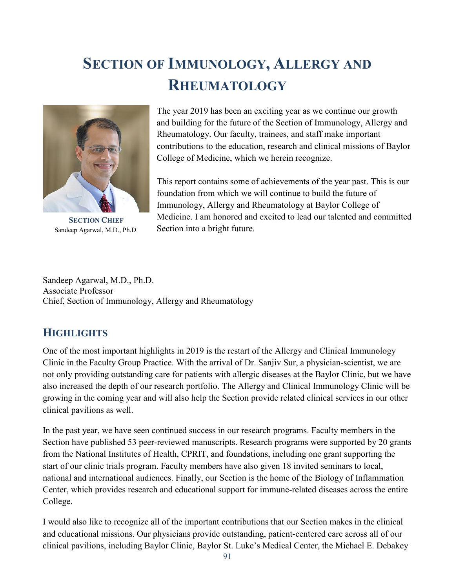# **SECTION OF IMMUNOLOGY, ALLERGY AND RHEUMATOLOGY**



**SECTION CHIEF** Sandeep Agarwal, M.D., Ph.D.

The year 2019 has been an exciting year as we continue our growth and building for the future of the Section of Immunology, Allergy and Rheumatology. Our faculty, trainees, and staff make important contributions to the education, research and clinical missions of Baylor College of Medicine, which we herein recognize.

This report contains some of achievements of the year past. This is our foundation from which we will continue to build the future of Immunology, Allergy and Rheumatology at Baylor College of Medicine. I am honored and excited to lead our talented and committed Section into a bright future.

Sandeep Agarwal, M.D., Ph.D. Associate Professor Chief, Section of Immunology, Allergy and Rheumatology

# **HIGHLIGHTS**

One of the most important highlights in 2019 is the restart of the Allergy and Clinical Immunology Clinic in the Faculty Group Practice. With the arrival of Dr. Sanjiv Sur, a physician-scientist, we are not only providing outstanding care for patients with allergic diseases at the Baylor Clinic, but we have also increased the depth of our research portfolio. The Allergy and Clinical Immunology Clinic will be growing in the coming year and will also help the Section provide related clinical services in our other clinical pavilions as well.

In the past year, we have seen continued success in our research programs. Faculty members in the Section have published 53 peer-reviewed manuscripts. Research programs were supported by 20 grants from the National Institutes of Health, CPRIT, and foundations, including one grant supporting the start of our clinic trials program. Faculty members have also given 18 invited seminars to local, national and international audiences. Finally, our Section is the home of the Biology of Inflammation Center, which provides research and educational support for immune-related diseases across the entire College.

I would also like to recognize all of the important contributions that our Section makes in the clinical and educational missions. Our physicians provide outstanding, patient-centered care across all of our clinical pavilions, including Baylor Clinic, Baylor St. Luke's Medical Center, the Michael E. Debakey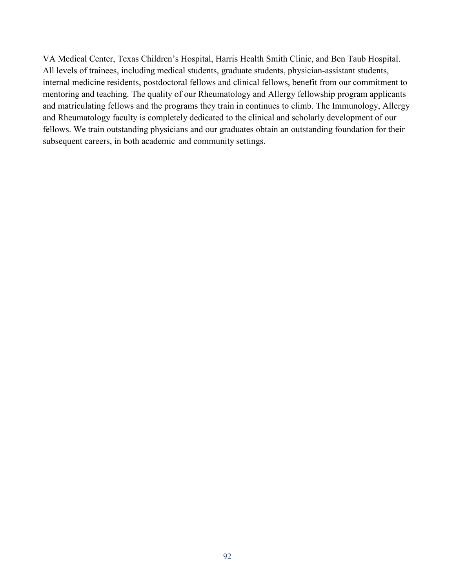VA Medical Center, Texas Children's Hospital, Harris Health Smith Clinic, and Ben Taub Hospital. All levels of trainees, including medical students, graduate students, physician-assistant students, internal medicine residents, postdoctoral fellows and clinical fellows, benefit from our commitment to mentoring and teaching. The quality of our Rheumatology and Allergy fellowship program applicants and matriculating fellows and the programs they train in continues to climb. The Immunology, Allergy and Rheumatology faculty is completely dedicated to the clinical and scholarly development of our fellows. We train outstanding physicians and our graduates obtain an outstanding foundation for their subsequent careers, in both academic and community settings.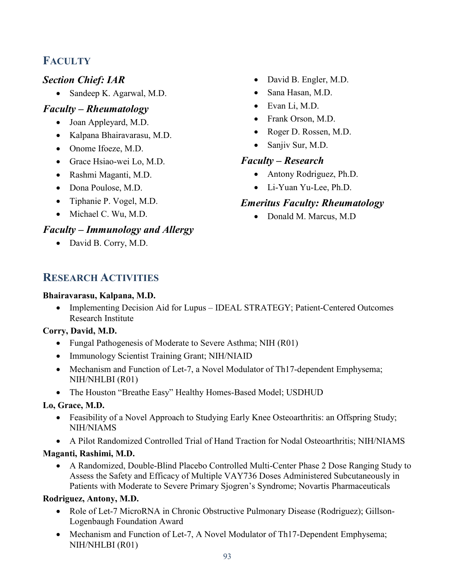# **FACULTY**

## *Section Chief: IAR*

• Sandeep K. Agarwal, M.D.

## *Faculty – Rheumatology*

- Joan Appleyard, M.D.
- Kalpana Bhairavarasu, M.D.
- Onome Ifoeze, M.D.
- Grace Hsiao-wei Lo, M.D.
- Rashmi Maganti, M.D.
- Dona Poulose, M.D.
- Tiphanie P. Vogel, M.D.
- Michael C. Wu, M.D.

# *Faculty – Immunology and Allergy*

• David B. Corry, M.D.

- David B. Engler, M.D.
- Sana Hasan, M.D.
- Evan Li, M.D.
- Frank Orson, M.D.
- Roger D. Rossen, M.D.
- Sanjiv Sur, M.D.

## *Faculty – Research*

- Antony Rodriguez, Ph.D.
- Li-Yuan Yu-Lee, Ph.D.

# *Emeritus Faculty: Rheumatology*

• Donald M. Marcus, M.D

# **RESEARCH ACTIVITIES**

#### **Bhairavarasu, Kalpana, M.D.**

• Implementing Decision Aid for Lupus – IDEAL STRATEGY; Patient-Centered Outcomes Research Institute

#### **Corry, David, M.D.**

- Fungal Pathogenesis of Moderate to Severe Asthma; NIH (R01)
- Immunology Scientist Training Grant; NIH/NIAID
- Mechanism and Function of Let-7, a Novel Modulator of Th17-dependent Emphysema; NIH/NHLBI (R01)
- The Houston "Breathe Easy" Healthy Homes-Based Model; USDHUD

#### **Lo, Grace, M.D.**

- Feasibility of a Novel Approach to Studying Early Knee Osteoarthritis: an Offspring Study; NIH/NIAMS
- A Pilot Randomized Controlled Trial of Hand Traction for Nodal Osteoarthritis; NIH/NIAMS

#### **Maganti, Rashimi, M.D.**

• A Randomized, Double-Blind Placebo Controlled Multi-Center Phase 2 Dose Ranging Study to Assess the Safety and Efficacy of Multiple VAY736 Doses Administered Subcutaneously in Patients with Moderate to Severe Primary Sjogren's Syndrome; Novartis Pharmaceuticals

## **Rodriguez, Antony, M.D.**

- Role of Let-7 MicroRNA in Chronic Obstructive Pulmonary Disease (Rodriguez); Gillson-Logenbaugh Foundation Award
- Mechanism and Function of Let-7, A Novel Modulator of Th17-Dependent Emphysema; NIH/NHLBI (R01)